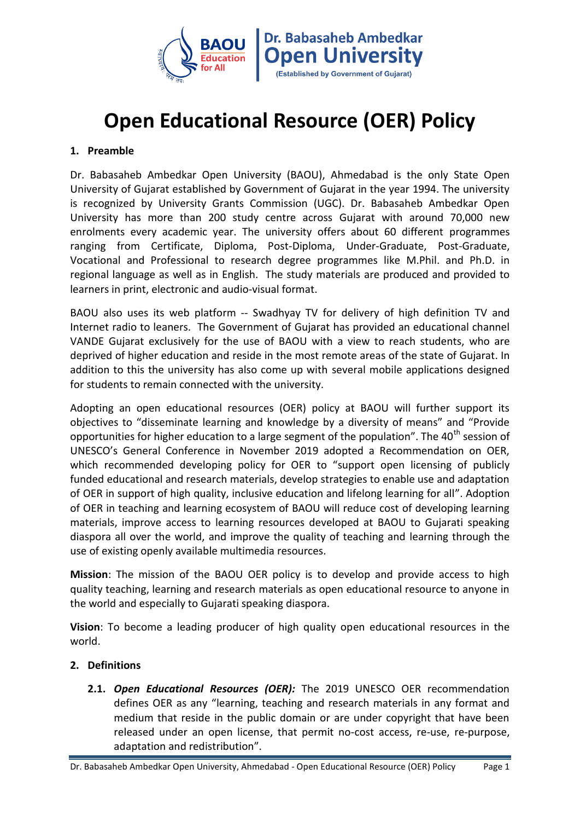

# **Open Educational Resource (OER) Policy**

## **1. Preamble**

Dr. Babasaheb Ambedkar Open University (BAOU), Ahmedabad is the only State Open University of Gujarat established by Government of Gujarat in the year 1994. The university is recognized by University Grants Commission (UGC). Dr. Babasaheb Ambedkar Open University has more than 200 study centre across Gujarat with around 70,000 new enrolments every academic year. The university offers about 60 different programmes ranging from Certificate, Diploma, Post-Diploma, Under-Graduate, Post-Graduate, Vocational and Professional to research degree programmes like M.Phil. and Ph.D. in regional language as well as in English. The study materials are produced and provided to learners in print, electronic and audio-visual format.

BAOU also uses its web platform -- Swadhyay TV for delivery of high definition TV and Internet radio to leaners. The Government of Gujarat has provided an educational channel VANDE Gujarat exclusively for the use of BAOU with a view to reach students, who are deprived of higher education and reside in the most remote areas of the state of Gujarat. In addition to this the university has also come up with several mobile applications designed for students to remain connected with the university.

Adopting an open educational resources (OER) policy at BAOU will further support its objectives to "disseminate learning and knowledge by a diversity of means" and "Provide opportunities for higher education to a large segment of the population". The 40<sup>th</sup> session of UNESCO's General Conference in November 2019 adopted a Recommendation on OER, which recommended developing policy for OER to "support open licensing of publicly funded educational and research materials, develop strategies to enable use and adaptation of OER in support of high quality, inclusive education and lifelong learning for all". Adoption of OER in teaching and learning ecosystem of BAOU will reduce cost of developing learning materials, improve access to learning resources developed at BAOU to Gujarati speaking diaspora all over the world, and improve the quality of teaching and learning through the use of existing openly available multimedia resources.

**Mission**: The mission of the BAOU OER policy is to develop and provide access to high quality teaching, learning and research materials as open educational resource to anyone in the world and especially to Gujarati speaking diaspora.

**Vision**: To become a leading producer of high quality open educational resources in the world.

## **2. Definitions**

**2.1.** *Open Educational Resources (OER):* The 2019 UNESCO OER recommendation defines OER as any "learning, teaching and research materials in any format and medium that reside in the public domain or are under copyright that have been released under an open license, that permit no-cost access, re-use, re-purpose, adaptation and redistribution".

Dr. Babasaheb Ambedkar Open University, Ahmedabad - Open Educational Resource (OER) Policy Page 1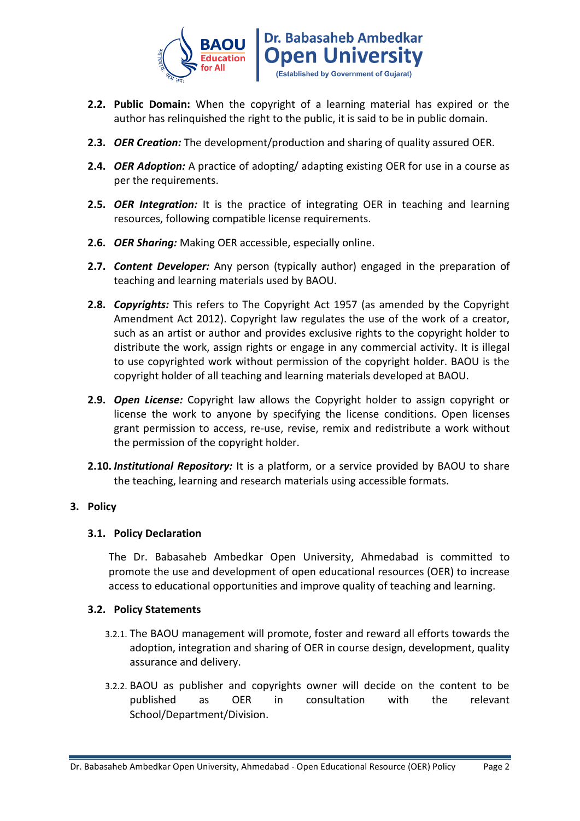

- **2.2. Public Domain:** When the copyright of a learning material has expired or the author has relinquished the right to the public, it is said to be in public domain.
- **2.3.** *OER Creation:* The development/production and sharing of quality assured OER.
- **2.4.** *OER Adoption:* A practice of adopting/ adapting existing OER for use in a course as per the requirements.
- **2.5.** *OER Integration:* It is the practice of integrating OER in teaching and learning resources, following compatible license requirements.
- **2.6.** *OER Sharing:* Making OER accessible, especially online.
- **2.7.** *Content Developer:* Any person (typically author) engaged in the preparation of teaching and learning materials used by BAOU.
- **2.8.** *Copyrights:* This refers to The Copyright Act 1957 (as amended by the Copyright Amendment Act 2012). Copyright law regulates the use of the work of a creator, such as an artist or author and provides exclusive rights to the copyright holder to distribute the work, assign rights or engage in any commercial activity. It is illegal to use copyrighted work without permission of the copyright holder. BAOU is the copyright holder of all teaching and learning materials developed at BAOU.
- **2.9.** *Open License:* Copyright law allows the Copyright holder to assign copyright or license the work to anyone by specifying the license conditions. Open licenses grant permission to access, re-use, revise, remix and redistribute a work without the permission of the copyright holder.
- **2.10.** *Institutional Repository:* It is a platform, or a service provided by BAOU to share the teaching, learning and research materials using accessible formats.

## **3. Policy**

## **3.1. Policy Declaration**

The Dr. Babasaheb Ambedkar Open University, Ahmedabad is committed to promote the use and development of open educational resources (OER) to increase access to educational opportunities and improve quality of teaching and learning.

#### **3.2. Policy Statements**

- 3.2.1. The BAOU management will promote, foster and reward all efforts towards the adoption, integration and sharing of OER in course design, development, quality assurance and delivery.
- 3.2.2. BAOU as publisher and copyrights owner will decide on the content to be published as OER in consultation with the relevant School/Department/Division.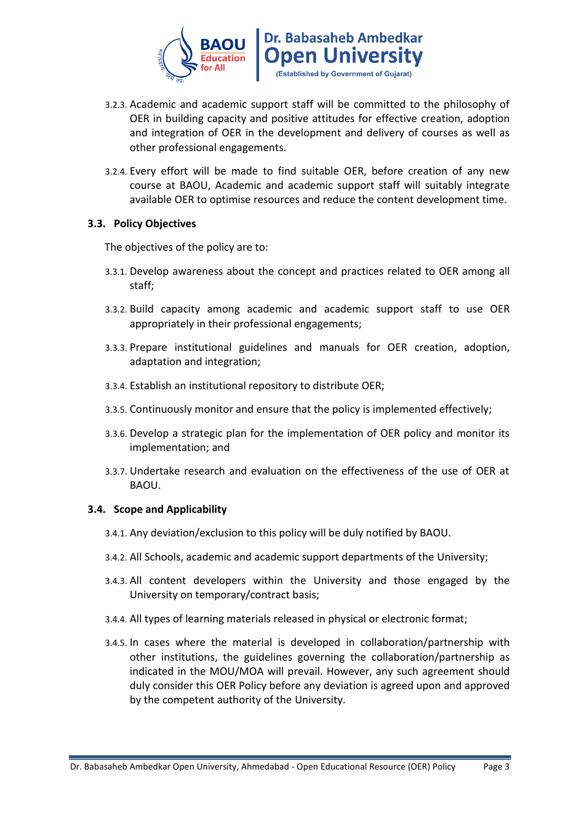

- 3.2.3. Academic and academic support staff will be committed to the philosophy of OER in building capacity and positive attitudes for effective creation, adoption and integration of OER in the development and delivery of courses as well as other professional engagements.
- 3.2.4. Every effort will be made to find suitable OER, before creation of any new course at BAOU, Academic and academic support staff will suitably integrate available OER to optimise resources and reduce the content development time.

#### **3.3. Policy Objectives**

The objectives of the policy are to:

- 3.3.1. Develop awareness about the concept and practices related to OER among all staff;
- 3.3.2. Build capacity among academic and academic support staff to use OER appropriately in their professional engagements;
- 3.3.3. Prepare institutional guidelines and manuals for OER creation, adoption, adaptation and integration;
- 3.3.4. Establish an institutional repository to distribute OER;
- 3.3.5. Continuously monitor and ensure that the policy is implemented effectively;
- 3.3.6. Develop a strategic plan for the implementation of OER policy and monitor its implementation; and
- 3.3.7. Undertake research and evaluation on the effectiveness of the use of OER at BAOU.

#### **3.4. Scope and Applicability**

- 3.4.1. Any deviation/exclusion to this policy will be duly notified by BAOU.
- 3.4.2. All Schools, academic and academic support departments of the University;
- 3.4.3. All content developers within the University and those engaged by the University on temporary/contract basis;
- 3.4.4. All types of learning materials released in physical or electronic format;
- 3.4.5. In cases where the material is developed in collaboration/partnership with other institutions, the guidelines governing the collaboration/partnership as indicated in the MOU/MOA will prevail. However, any such agreement should duly consider this OER Policy before any deviation is agreed upon and approved by the competent authority of the University.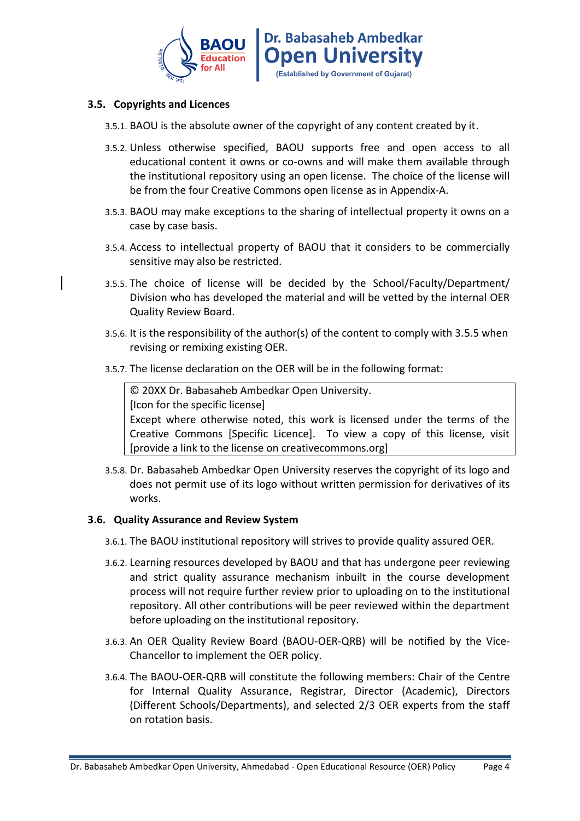

### **3.5. Copyrights and Licences**

- 3.5.1. BAOU is the absolute owner of the copyright of any content created by it.
- 3.5.2. Unless otherwise specified, BAOU supports free and open access to all educational content it owns or co-owns and will make them available through the institutional repository using an open license. The choice of the license will be from the four Creative Commons open license as in Appendix-A.
- 3.5.3. BAOU may make exceptions to the sharing of intellectual property it owns on a case by case basis.
- 3.5.4. Access to intellectual property of BAOU that it considers to be commercially sensitive may also be restricted.
- 3.5.5. The choice of license will be decided by the School/Faculty/Department/ Division who has developed the material and will be vetted by the internal OER Quality Review Board.
- 3.5.6. It is the responsibility of the author(s) of the content to comply with 3.5.5 when revising or remixing existing OER.
- 3.5.7. The license declaration on the OER will be in the following format:

© 20XX Dr. Babasaheb Ambedkar Open University. [Icon for the specific license] Except where otherwise noted, this work is licensed under the terms of the Creative Commons [Specific Licence]. To view a copy of this license, visit [provide a link to the license on creativecommons.org]

3.5.8. Dr. Babasaheb Ambedkar Open University reserves the copyright of its logo and does not permit use of its logo without written permission for derivatives of its works.

#### **3.6. Quality Assurance and Review System**

- 3.6.1. The BAOU institutional repository will strives to provide quality assured OER.
- 3.6.2. Learning resources developed by BAOU and that has undergone peer reviewing and strict quality assurance mechanism inbuilt in the course development process will not require further review prior to uploading on to the institutional repository. All other contributions will be peer reviewed within the department before uploading on the institutional repository.
- 3.6.3. An OER Quality Review Board (BAOU-OER-QRB) will be notified by the Vice-Chancellor to implement the OER policy.
- 3.6.4. The BAOU-OER-QRB will constitute the following members: Chair of the Centre for Internal Quality Assurance, Registrar, Director (Academic), Directors (Different Schools/Departments), and selected 2/3 OER experts from the staff on rotation basis.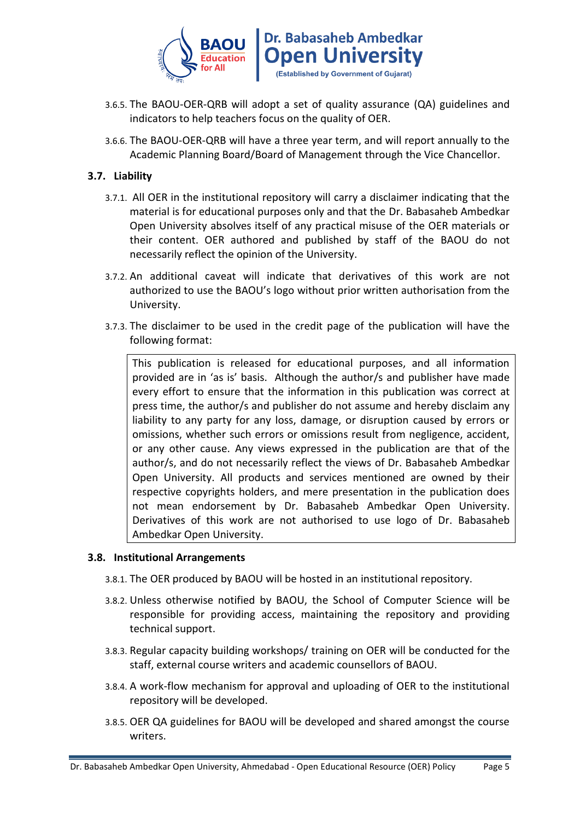

- 3.6.5. The BAOU-OER-QRB will adopt a set of quality assurance (QA) guidelines and indicators to help teachers focus on the quality of OER.
- 3.6.6. The BAOU-OER-QRB will have a three year term, and will report annually to the Academic Planning Board/Board of Management through the Vice Chancellor.

## **3.7. Liability**

- 3.7.1. All OER in the institutional repository will carry a disclaimer indicating that the material is for educational purposes only and that the Dr. Babasaheb Ambedkar Open University absolves itself of any practical misuse of the OER materials or their content. OER authored and published by staff of the BAOU do not necessarily reflect the opinion of the University.
- 3.7.2. An additional caveat will indicate that derivatives of this work are not authorized to use the BAOU's logo without prior written authorisation from the University.
- 3.7.3. The disclaimer to be used in the credit page of the publication will have the following format:

This publication is released for educational purposes, and all information provided are in 'as is' basis. Although the author/s and publisher have made every effort to ensure that the information in this publication was correct at press time, the author/s and publisher do not assume and hereby disclaim any liability to any party for any loss, damage, or disruption caused by errors or omissions, whether such errors or omissions result from negligence, accident, or any other cause. Any views expressed in the publication are that of the author/s, and do not necessarily reflect the views of Dr. Babasaheb Ambedkar Open University. All products and services mentioned are owned by their respective copyrights holders, and mere presentation in the publication does not mean endorsement by Dr. Babasaheb Ambedkar Open University. Derivatives of this work are not authorised to use logo of Dr. Babasaheb Ambedkar Open University.

#### **3.8. Institutional Arrangements**

- 3.8.1. The OER produced by BAOU will be hosted in an institutional repository.
- 3.8.2. Unless otherwise notified by BAOU, the School of Computer Science will be responsible for providing access, maintaining the repository and providing technical support.
- 3.8.3. Regular capacity building workshops/ training on OER will be conducted for the staff, external course writers and academic counsellors of BAOU.
- 3.8.4. A work-flow mechanism for approval and uploading of OER to the institutional repository will be developed.
- 3.8.5. OER QA guidelines for BAOU will be developed and shared amongst the course writers.